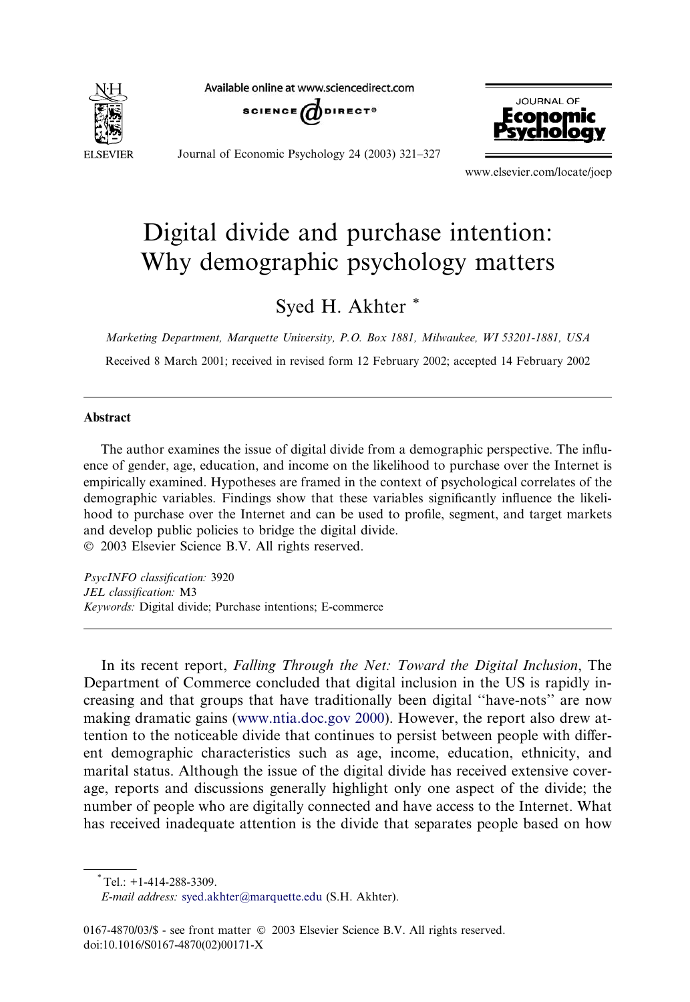

Available online at www.sciencedirect.com





Journal of Economic Psychology 24 (2003) 321–327

www.elsevier.com/locate/joep

# Digital divide and purchase intention: Why demographic psychology matters

Syed H. Akhter \*

Marketing Department, Marquette University, P.O. Box 1881, Milwaukee, WI 53201-1881, USA

Received 8 March 2001; received in revised form 12 February 2002; accepted 14 February 2002

### Abstract

The author examines the issue of digital divide from a demographic perspective. The influence of gender, age, education, and income on the likelihood to purchase over the Internet is empirically examined. Hypotheses are framed in the context of psychological correlates of the demographic variables. Findings show that these variables significantly influence the likelihood to purchase over the Internet and can be used to profile, segment, and target markets and develop public policies to bridge the digital divide. 2003 Elsevier Science B.V. All rights reserved.

PsycINFO classification: 3920 JEL classification: M3 Keywords: Digital divide; Purchase intentions; E-commerce

In its recent report, Falling Through the Net: Toward the Digital Inclusion, The Department of Commerce concluded that digital inclusion in the US is rapidly increasing and that groups that have traditionally been digital ''have-nots'' are now making dramatic gains ([www.ntia.doc.gov 2000\)](http://www.ntia.doc.gov 2000). However, the report also drew attention to the noticeable divide that continues to persist between people with different demographic characteristics such as age, income, education, ethnicity, and marital status. Although the issue of the digital divide has received extensive coverage, reports and discussions generally highlight only one aspect of the divide; the number of people who are digitally connected and have access to the Internet. What has received inadequate attention is the divide that separates people based on how

 $*$ Tel.: +1-414-288-3309.

E-mail address: [syed.akhter@marquette.edu](mail to: syed.akhter@marquette.edu) (S.H. Akhter).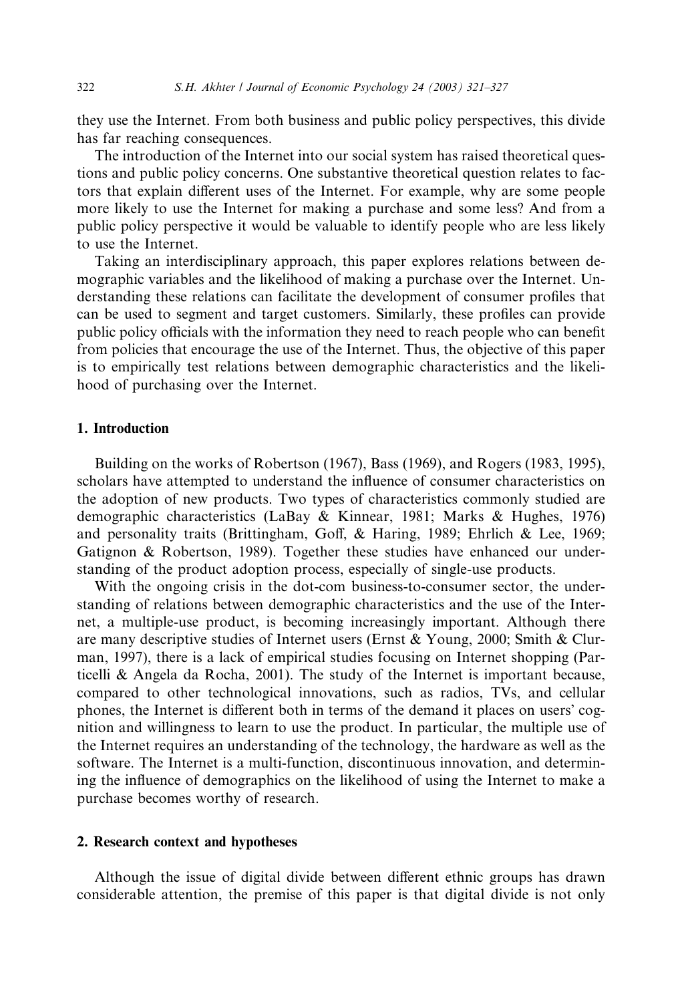they use the Internet. From both business and public policy perspectives, this divide has far reaching consequences.

The introduction of the Internet into our social system has raised theoretical questions and public policy concerns. One substantive theoretical question relates to factors that explain different uses of the Internet. For example, why are some people more likely to use the Internet for making a purchase and some less? And from a public policy perspective it would be valuable to identify people who are less likely to use the Internet.

Taking an interdisciplinary approach, this paper explores relations between demographic variables and the likelihood of making a purchase over the Internet. Understanding these relations can facilitate the development of consumer profiles that can be used to segment and target customers. Similarly, these profiles can provide public policy officials with the information they need to reach people who can benefit from policies that encourage the use of the Internet. Thus, the objective of this paper is to empirically test relations between demographic characteristics and the likelihood of purchasing over the Internet.

### 1. Introduction

Building on the works of Robertson (1967), Bass (1969), and Rogers (1983, 1995), scholars have attempted to understand the influence of consumer characteristics on the adoption of new products. Two types of characteristics commonly studied are demographic characteristics (LaBay & Kinnear, 1981; Marks & Hughes, 1976) and personality traits (Brittingham, Goff, & Haring, 1989; Ehrlich & Lee, 1969; Gatignon & Robertson, 1989). Together these studies have enhanced our understanding of the product adoption process, especially of single-use products.

With the ongoing crisis in the dot-com business-to-consumer sector, the understanding of relations between demographic characteristics and the use of the Internet, a multiple-use product, is becoming increasingly important. Although there are many descriptive studies of Internet users (Ernst & Young, 2000; Smith & Clurman, 1997), there is a lack of empirical studies focusing on Internet shopping (Particelli & Angela da Rocha, 2001). The study of the Internet is important because, compared to other technological innovations, such as radios, TVs, and cellular phones, the Internet is different both in terms of the demand it places on users cognition and willingness to learn to use the product. In particular, the multiple use of the Internet requires an understanding of the technology, the hardware as well as the software. The Internet is a multi-function, discontinuous innovation, and determining the influence of demographics on the likelihood of using the Internet to make a purchase becomes worthy of research.

#### 2. Research context and hypotheses

Although the issue of digital divide between different ethnic groups has drawn considerable attention, the premise of this paper is that digital divide is not only